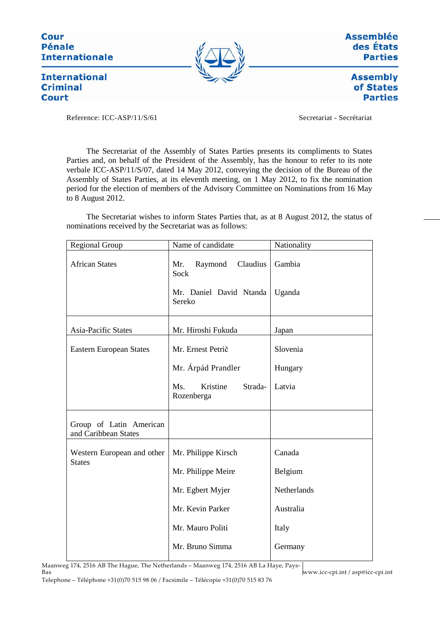**Cour Assemblée** des États **Pénale Internationale Parties International Assembly Criminal** of States **Court Parties** 

Reference: ICC-ASP/11/S/61 Secretariat - Secrétariat - Secrétariat - Secrétariat - Secrétariat - Secrétariat - Secrétariat - Secrétariat - Secrétariat - Secrétariat - Secrétariat - Secrétariat - Secrétariat - Secrétariat -

The Secretariat of the Assembly of States Parties presents its compliments to States Parties and, on behalf of the President of the Assembly, has the honour to refer to its note verbale ICC-ASP/11/S/07, dated 14 May 2012, conveying the decision of the Bureau of the Assembly of States Parties, at its eleventh meeting, on 1 May 2012, to fix the nomination period for the election of members of the Advisory Committee on Nominations from 16 May to 8 August 2012.

The Secretariat wishes to inform States Parties that, as at 8 August 2012, the status of nominations received by the Secretariat was as follows:

| Regional Group                                  | Name of candidate                        | Nationality |
|-------------------------------------------------|------------------------------------------|-------------|
| <b>African States</b>                           | Raymond<br>Claudius<br>Mr.<br>Sock       | Gambia      |
|                                                 | Mr. Daniel David Ntanda<br>Sereko        | Uganda      |
| Asia-Pacific States                             | Mr. Hiroshi Fukuda                       | Japan       |
| <b>Eastern European States</b>                  | Mr. Ernest Petrič                        | Slovenia    |
|                                                 | Mr. Árpád Prandler                       | Hungary     |
|                                                 | Kristine<br>Ms.<br>Strada-<br>Rozenberga | Latvia      |
| Group of Latin American<br>and Caribbean States |                                          |             |
| Western European and other<br><b>States</b>     | Mr. Philippe Kirsch                      | Canada      |
|                                                 | Mr. Philippe Meire                       | Belgium     |
|                                                 | Mr. Egbert Myjer                         | Netherlands |
|                                                 | Mr. Kevin Parker                         | Australia   |
|                                                 | Mr. Mauro Politi                         | Italy       |
|                                                 | Mr. Bruno Simma                          | Germany     |

Maanweg 174, 2516 AB The Hague, The Netherlands – Maanweg 174, 2516 AB La Haye, Pays-Bas Bas www.icc-cpi.int / asp@icc-cpi.int